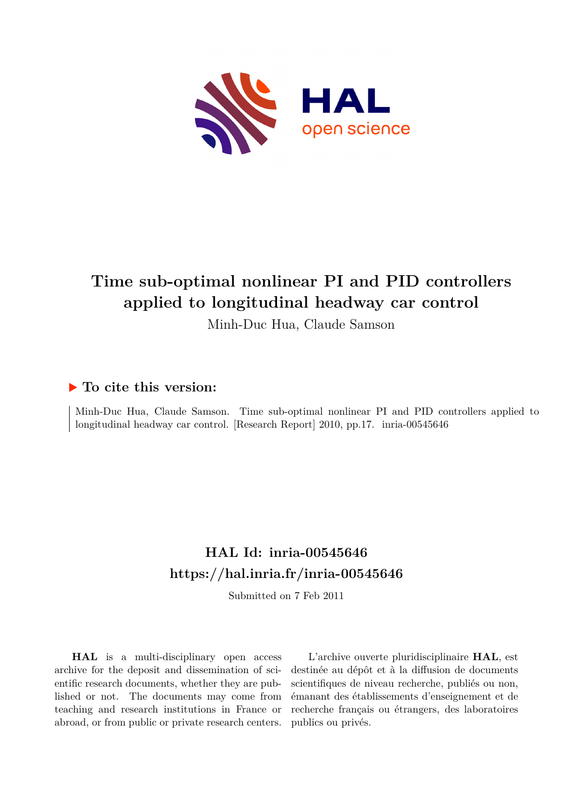

## **Time sub-optimal nonlinear PI and PID controllers applied to longitudinal headway car control**

Minh-Duc Hua, Claude Samson

### **To cite this version:**

Minh-Duc Hua, Claude Samson. Time sub-optimal nonlinear PI and PID controllers applied to longitudinal headway car control. [Research Report] 2010, pp.17. inria-00545646

## **HAL Id: inria-00545646 <https://hal.inria.fr/inria-00545646>**

Submitted on 7 Feb 2011

**HAL** is a multi-disciplinary open access archive for the deposit and dissemination of scientific research documents, whether they are published or not. The documents may come from teaching and research institutions in France or abroad, or from public or private research centers.

L'archive ouverte pluridisciplinaire **HAL**, est destinée au dépôt et à la diffusion de documents scientifiques de niveau recherche, publiés ou non, émanant des établissements d'enseignement et de recherche français ou étrangers, des laboratoires publics ou privés.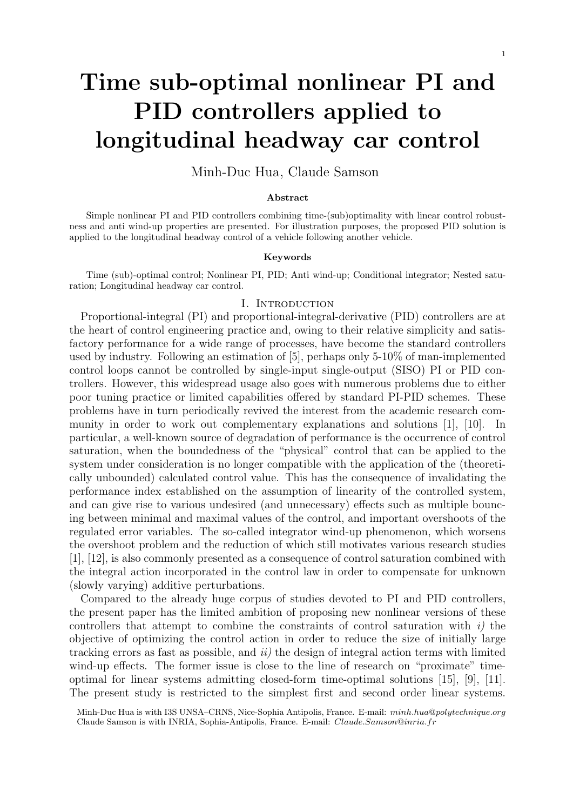# **Time sub-optimal nonlinear PI and PID controllers applied to longitudinal headway car control**

Minh-Duc Hua, Claude Samson

#### **Abstract**

Simple nonlinear PI and PID controllers combining time-(sub)optimality with linear control robustness and anti wind-up properties are presented. For illustration purposes, the proposed PID solution is applied to the longitudinal headway control of a vehicle following another vehicle.

#### **Keywords**

Time (sub)-optimal control; Nonlinear PI, PID; Anti wind-up; Conditional integrator; Nested saturation; Longitudinal headway car control.

#### I. INTRODUCTION

Proportional-integral (PI) and proportional-integral-derivative (PID) controllers are at the heart of control engineering practice and, owing to their relative simplicity and satisfactory performance for a wide range of processes, have become the standard controllers used by industry. Following an estimation of [5], perhaps only 5-10% of man-implemented control loops cannot be controlled by single-input single-output (SISO) PI or PID controllers. However, this widespread usage also goes with numerous problems due to either poor tuning practice or limited capabilities offered by standard PI-PID schemes. These problems have in turn periodically revived the interest from the academic research community in order to work out complementary explanations and solutions [1], [10]. In particular, a well-known source of degradation of performance is the occurrence of control saturation, when the boundedness of the "physical" control that can be applied to the system under consideration is no longer compatible with the application of the (theoretically unbounded) calculated control value. This has the consequence of invalidating the performance index established on the assumption of linearity of the controlled system, and can give rise to various undesired (and unnecessary) effects such as multiple bouncing between minimal and maximal values of the control, and important overshoots of the regulated error variables. The so-called integrator wind-up phenomenon, which worsens the overshoot problem and the reduction of which still motivates various research studies [1], [12], is also commonly presented as a consequence of control saturation combined with the integral action incorporated in the control law in order to compensate for unknown (slowly varying) additive perturbations.

Compared to the already huge corpus of studies devoted to PI and PID controllers, the present paper has the limited ambition of proposing new nonlinear versions of these controllers that attempt to combine the constraints of control saturation with *i)* the objective of optimizing the control action in order to reduce the size of initially large tracking errors as fast as possible, and *ii)* the design of integral action terms with limited wind-up effects. The former issue is close to the line of research on "proximate" timeoptimal for linear systems admitting closed-form time-optimal solutions [15], [9], [11]. The present study is restricted to the simplest first and second order linear systems.

Minh-Duc Hua is with I3S UNSA–CRNS, Nice-Sophia Antipolis, France. E-mail: *minh.hua*@*polytechnique.org* Claude Samson is with INRIA, Sophia-Antipolis, France. E-mail: *Claude.Samson*@*inria.fr*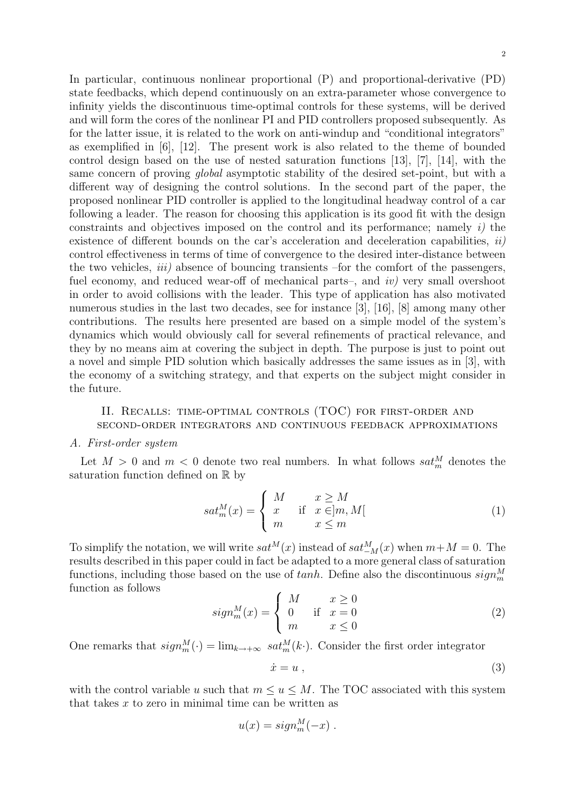In particular, continuous nonlinear proportional (P) and proportional-derivative (PD) state feedbacks, which depend continuously on an extra-parameter whose convergence to infinity yields the discontinuous time-optimal controls for these systems, will be derived and will form the cores of the nonlinear PI and PID controllers proposed subsequently. As for the latter issue, it is related to the work on anti-windup and "conditional integrators" as exemplified in [6], [12]. The present work is also related to the theme of bounded control design based on the use of nested saturation functions [13], [7], [14], with the same concern of proving *global* asymptotic stability of the desired set-point, but with a different way of designing the control solutions. In the second part of the paper, the proposed nonlinear PID controller is applied to the longitudinal headway control of a car following a leader. The reason for choosing this application is its good fit with the design constraints and objectives imposed on the control and its performance; namely *i)* the existence of different bounds on the car's acceleration and deceleration capabilities, *ii)* control effectiveness in terms of time of convergence to the desired inter-distance between the two vehicles, *iii)* absence of bouncing transients –for the comfort of the passengers, fuel economy, and reduced wear-off of mechanical parts–, and *iv*) very small overshoot in order to avoid collisions with the leader. This type of application has also motivated numerous studies in the last two decades, see for instance [3], [16], [8] among many other contributions. The results here presented are based on a simple model of the system's dynamics which would obviously call for several refinements of practical relevance, and they by no means aim at covering the subject in depth. The purpose is just to point out a novel and simple PID solution which basically addresses the same issues as in [3], with the economy of a switching strategy, and that experts on the subject might consider in the future.

#### II. Recalls: time-optimal controls (TOC) for first-order and second-order integrators and continuous feedback approximations

#### *A. First-order system*

Let  $M > 0$  and  $m < 0$  denote two real numbers. In what follows  $sat_m^M$  denotes the saturation function defined on R by

$$
sat_m^M(x) = \begin{cases} M & x \ge M \\ x & \text{if } x \in ]m, M[ \\ m & x \le m \end{cases}
$$
 (1)

To simplify the notation, we will write  $sat^M(x)$  instead of  $sat^M_{-M}(x)$  when  $m+M=0$ . The results described in this paper could in fact be adapted to a more general class of saturation functions, including those based on the use of  $tanh$ . Define also the discontinuous  $sign_m^M$ function as follows

$$
sign_m^M(x) = \begin{cases} M & x \ge 0\\ 0 & \text{if } x = 0\\ m & x \le 0 \end{cases}
$$
 (2)

One remarks that  $sign_m^M(\cdot) = \lim_{k \to +\infty} sat_m^M(k\cdot)$ . Consider the first order integrator

$$
\dot{x} = u \tag{3}
$$

with the control variable *u* such that  $m \le u \le M$ . The TOC associated with this system that takes *x* to zero in minimal time can be written as

$$
u(x) = sign_m^M(-x) .
$$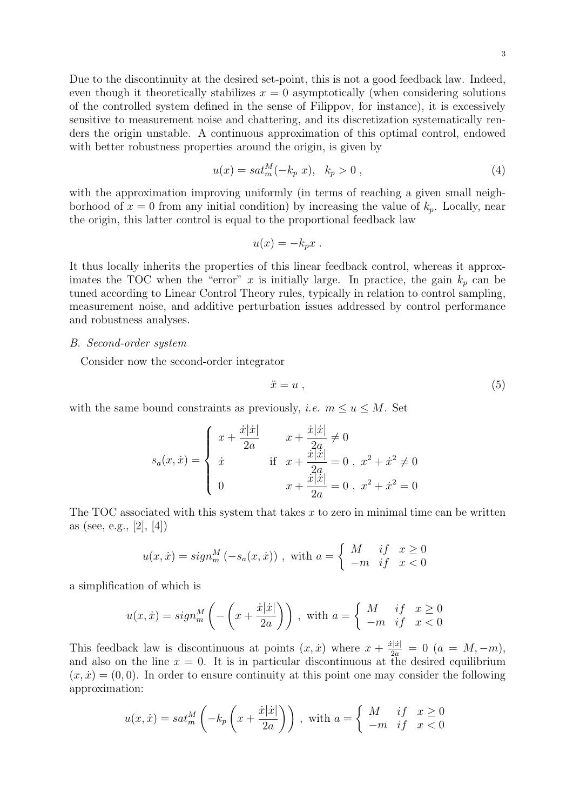Due to the discontinuity at the desired set-point, this is not a good feedback law. Indeed, even though it theoretically stabilizes  $x = 0$  asymptotically (when considering solutions of the controlled system defined in the sense of Filippov, for instance), it is excessively sensitive to measurement noise and chattering, and its discretization systematically renders the origin unstable. A continuous approximation of this optimal control, endowed with better robustness properties around the origin, is given by

$$
u(x) = sat_m^M(-k_p \ x), \ \ k_p > 0 \ , \tag{4}
$$

with the approximation improving uniformly (in terms of reaching a given small neighborhood of  $x = 0$  from any initial condition) by increasing the value of  $k_p$ . Locally, near the origin, this latter control is equal to the proportional feedback law

$$
u(x) = -k_p x .
$$

It thus locally inherits the properties of this linear feedback control, whereas it approximates the TOC when the "error"  $x$  is initially large. In practice, the gain  $k_p$  can be tuned according to Linear Control Theory rules, typically in relation to control sampling, measurement noise, and additive perturbation issues addressed by control performance and robustness analyses.

#### *B. Second-order system*

Consider now the second-order integrator

$$
\ddot{x} = u \tag{5}
$$

with the same bound constraints as previously, *i.e.*  $m \le u \le M$ . Set

$$
s_a(x, \dot{x}) = \begin{cases} x + \frac{\dot{x}|\dot{x}|}{2a} & x + \frac{\dot{x}|\dot{x}|}{2a} \neq 0\\ \dot{x} & \text{if } x + \frac{\dot{x}|\dot{x}|}{2a} = 0, \ x^2 + \dot{x}^2 \neq 0\\ 0 & x + \frac{\dot{x}|\dot{x}|}{2a} = 0, \ x^2 + \dot{x}^2 = 0 \end{cases}
$$

The TOC associated with this system that takes *x* to zero in minimal time can be written as (see, e.g., [2], [4])

$$
u(x, \dot{x}) = sign_m^M(-s_a(x, \dot{x}))
$$
, with  $a = \begin{cases} M & \text{if } x \ge 0 \\ -m & \text{if } x < 0 \end{cases}$ 

a simplification of which is

$$
u(x, \dot{x}) = sign_m^M \left( -\left(x + \frac{\dot{x}|\dot{x}|}{2a}\right) \right), \text{ with } a = \begin{cases} M & \text{if } x \ge 0\\ -m & \text{if } x < 0 \end{cases}
$$

This feedback law is discontinuous at points  $(x, \dot{x})$  where  $x + \frac{\dot{x}|\dot{x}|}{2a} = 0$   $(a = M, -m)$ , and also on the line  $x = 0$ . It is in particular discontinuous at the desired equilibrium  $(x, \dot{x}) = (0, 0)$ . In order to ensure continuity at this point one may consider the following approximation:

$$
u(x, \dot{x}) = sat_m^M\left(-k_p\left(x + \frac{\dot{x}|\dot{x}|}{2a}\right)\right), \text{ with } a = \begin{cases} M & \text{if } x \ge 0\\ -m & \text{if } x < 0 \end{cases}
$$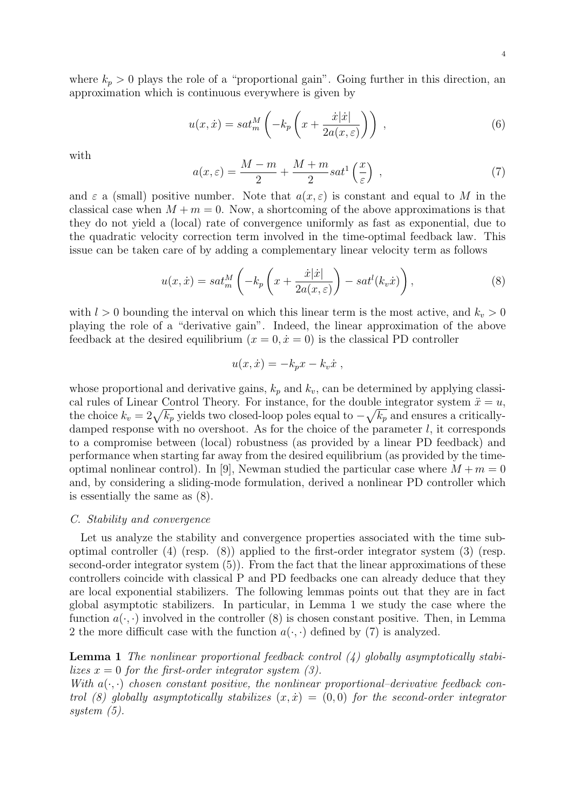where  $k_p > 0$  plays the role of a "proportional gain". Going further in this direction, an approximation which is continuous everywhere is given by

$$
u(x,\dot{x}) = sat_m^M\left(-k_p\left(x + \frac{\dot{x}|\dot{x}|}{2a(x,\varepsilon)}\right)\right) ,\qquad (6)
$$

with

$$
a(x,\varepsilon) = \frac{M-m}{2} + \frac{M+m}{2}sat^1\left(\frac{x}{\varepsilon}\right) ,\qquad (7)
$$

and  $\varepsilon$  a (small) positive number. Note that  $a(x, \varepsilon)$  is constant and equal to M in the classical case when  $M + m = 0$ . Now, a shortcoming of the above approximations is that they do not yield a (local) rate of convergence uniformly as fast as exponential, due to the quadratic velocity correction term involved in the time-optimal feedback law. This issue can be taken care of by adding a complementary linear velocity term as follows

$$
u(x, \dot{x}) = sat_m^M \left( -k_p \left( x + \frac{\dot{x}|\dot{x}|}{2a(x,\varepsilon)} \right) - sat^l(k_v \dot{x}) \right),\tag{8}
$$

with  $l > 0$  bounding the interval on which this linear term is the most active, and  $k_v > 0$ playing the role of a "derivative gain". Indeed, the linear approximation of the above feedback at the desired equilibrium  $(x = 0, \dot{x} = 0)$  is the classical PD controller

$$
u(x, \dot{x}) = -k_p x - k_v \dot{x} ,
$$

whose proportional and derivative gains,  $k_p$  and  $k_v$ , can be determined by applying classical rules of Linear Control Theory. For instance, for the double integrator system  $\ddot{x} = u$ , the choice  $k_v = 2\sqrt{k_p}$  yields two closed-loop poles equal to  $-\sqrt{k_p}$  and ensures a criticallydamped response with no overshoot. As for the choice of the parameter *l*, it corresponds to a compromise between (local) robustness (as provided by a linear PD feedback) and performance when starting far away from the desired equilibrium (as provided by the timeoptimal nonlinear control). In [9], Newman studied the particular case where  $M + m = 0$ and, by considering a sliding-mode formulation, derived a nonlinear PD controller which is essentially the same as (8).

#### *C. Stability and convergence*

Let us analyze the stability and convergence properties associated with the time suboptimal controller (4) (resp. (8)) applied to the first-order integrator system (3) (resp. second-order integrator system  $(5)$ ). From the fact that the linear approximations of these controllers coincide with classical P and PD feedbacks one can already deduce that they are local exponential stabilizers. The following lemmas points out that they are in fact global asymptotic stabilizers. In particular, in Lemma 1 we study the case where the function  $a(\cdot, \cdot)$  involved in the controller (8) is chosen constant positive. Then, in Lemma 2 the more difficult case with the function  $a(\cdot, \cdot)$  defined by (7) is analyzed.

**Lemma 1** *The nonlinear proportional feedback control (4) globally asymptotically stabilizes*  $x = 0$  *for the first-order integrator system (3).* 

*With*  $a(\cdot, \cdot)$  *chosen constant positive, the nonlinear proportional–derivative feedback control (8) globally asymptotically stabilizes*  $(x, \dot{x}) = (0, 0)$  *for the second-order integrator system (5).*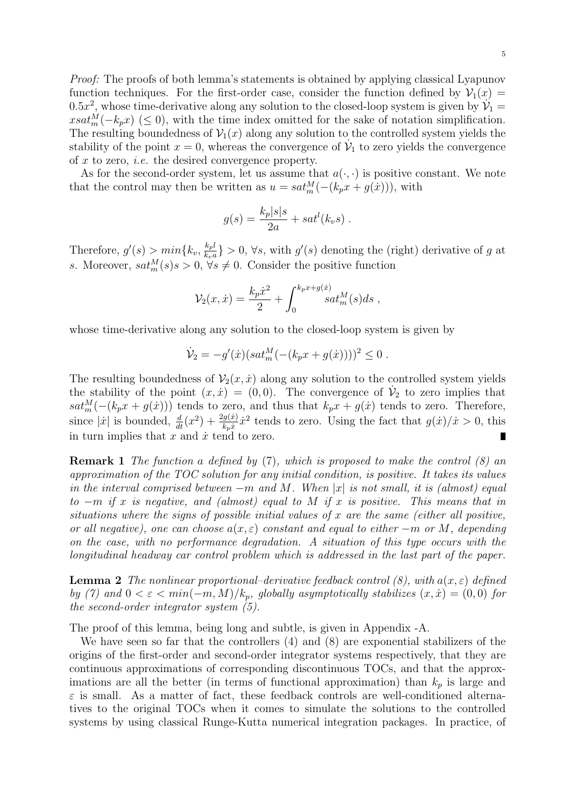5

*Proof:* The proofs of both lemma's statements is obtained by applying classical Lyapunov function techniques. For the first-order case, consider the function defined by  $V_1(x)$ 0.5 $x^2$ , whose time-derivative along any solution to the closed-loop system is given by  $\mathcal{V}_1$  =  $xsat_m^M(-k_p x)$  ( $\leq 0$ ), with the time index omitted for the sake of notation simplification. The resulting boundedness of  $V_1(x)$  along any solution to the controlled system yields the stability of the point  $x = 0$ , whereas the convergence of  $\dot{\mathcal{V}}_1$  to zero yields the convergence of *x* to zero, *i.e.* the desired convergence property.

As for the second-order system, let us assume that  $a(\cdot, \cdot)$  is positive constant. We note that the control may then be written as  $u = sat_m^M(-(k_px + g(\dot{x})))$ , with

$$
g(s) = \frac{k_p|s|s}{2a} + sat^l(k_v s) .
$$

Therefore,  $g'(s) > min\{k_v, \frac{k_v l}{k_v q}$  $\frac{k_p l}{k_v a}$  > 0,  $\forall s$ , with  $g'(s)$  denoting the (right) derivative of *g* at *s*. Moreover,  $sat_m^M(s)$  *s* > 0,  $\forall s \neq 0$ . Consider the positive function

$$
\mathcal{V}_2(x,\dot{x}) = \frac{k_p \dot{x}^2}{2} + \int_0^{k_p x + g(\dot{x})} s a t_m^M(s) ds ,
$$

whose time-derivative along any solution to the closed-loop system is given by

$$
\dot{\mathcal{V}}_2 = -g'(x)(sat_m^M(-(k_px + g(x))))^2 \leq 0.
$$

The resulting boundedness of  $V_2(x, \dot{x})$  along any solution to the controlled system yields the stability of the point  $(x, \dot{x}) = (0, 0)$ . The convergence of  $\dot{\mathcal{V}}_2$  to zero implies that  $sat_m^M(-(k_p x + g(x)))$  tends to zero, and thus that  $k_p x + g(x)$  tends to zero. Therefore, since  $|\dot{x}|$  is bounded,  $\frac{d}{dt}(x^2) + \frac{2g(\dot{x})}{k_p\dot{x}}\dot{x}^2$  tends to zero. Using the fact that  $g(\dot{x})/\dot{x} > 0$ , this in turn implies that  $x$  and  $\dot{x}$  tend to zero. Г

**Remark 1** *The function a defined by* (7)*, which is proposed to make the control (8) an approximation of the TOC solution for any initial condition, is positive. It takes its values in the interval comprised between −m and M. When |x| is not small, it is (almost) equal to −m if x is negative, and (almost) equal to M if x is positive. This means that in situations where the signs of possible initial values of x are the same (either all positive, or all negative), one can choose*  $a(x, \varepsilon)$  *constant and equal to either*  $-m$  *or*  $M$ *, depending on the case, with no performance degradation. A situation of this type occurs with the longitudinal headway car control problem which is addressed in the last part of the paper.*

**Lemma 2** *The nonlinear proportional–derivative feedback control*  $(8)$ *, with*  $a(x, \varepsilon)$  *defined by* (7) and  $0 < \varepsilon < min(-m, M)/k_p$ , globally asymptotically stabilizes  $(x, \dot{x}) = (0, 0)$  for *the second-order integrator system (5).*

The proof of this lemma, being long and subtle, is given in Appendix -A.

We have seen so far that the controllers (4) and (8) are exponential stabilizers of the origins of the first-order and second-order integrator systems respectively, that they are continuous approximations of corresponding discontinuous TOCs, and that the approximations are all the better (in terms of functional approximation) than *k<sup>p</sup>* is large and  $\varepsilon$  is small. As a matter of fact, these feedback controls are well-conditioned alternatives to the original TOCs when it comes to simulate the solutions to the controlled systems by using classical Runge-Kutta numerical integration packages. In practice, of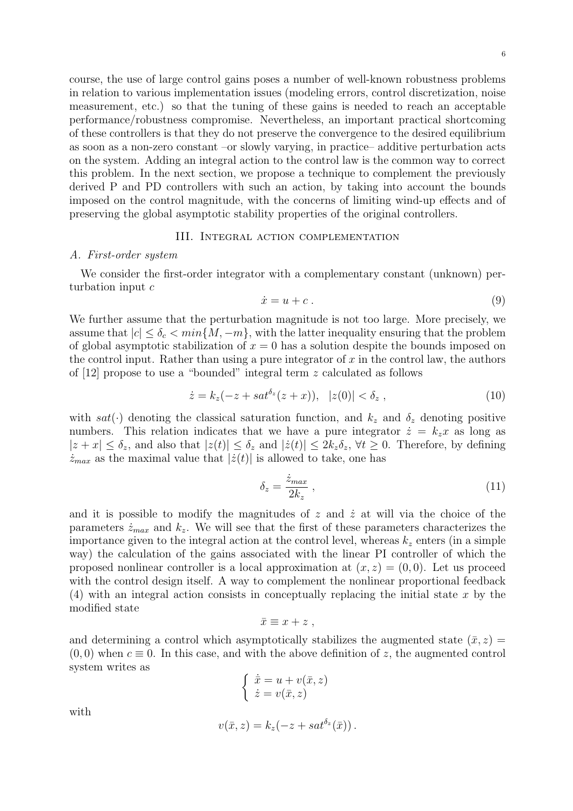course, the use of large control gains poses a number of well-known robustness problems in relation to various implementation issues (modeling errors, control discretization, noise measurement, etc.) so that the tuning of these gains is needed to reach an acceptable performance/robustness compromise. Nevertheless, an important practical shortcoming of these controllers is that they do not preserve the convergence to the desired equilibrium as soon as a non-zero constant –or slowly varying, in practice– additive perturbation acts on the system. Adding an integral action to the control law is the common way to correct this problem. In the next section, we propose a technique to complement the previously derived P and PD controllers with such an action, by taking into account the bounds imposed on the control magnitude, with the concerns of limiting wind-up effects and of preserving the global asymptotic stability properties of the original controllers.

#### III. Integral action complementation

#### *A. First-order system*

We consider the first-order integrator with a complementary constant (unknown) perturbation input *c*

$$
\dot{x} = u + c \tag{9}
$$

We further assume that the perturbation magnitude is not too large. More precisely, we assume that  $|c| \leq \delta_c < \min\{M, -m\}$ , with the latter inequality ensuring that the problem of global asymptotic stabilization of  $x = 0$  has a solution despite the bounds imposed on the control input. Rather than using a pure integrator of *x* in the control law, the authors of [12] propose to use a "bounded" integral term *z* calculated as follows

$$
\dot{z} = k_z(-z + sat^{\delta_z}(z + x)), \ |z(0)| < \delta_z , \tag{10}
$$

with  $sat(\cdot)$  denoting the classical saturation function, and  $k_z$  and  $\delta_z$  denoting positive numbers. This relation indicates that we have a pure integrator  $\dot{z} = k_z x$  as long as  $|z+x| \leq \delta_z$ , and also that  $|z(t)| \leq \delta_z$  and  $|\dot{z}(t)| \leq 2k_z \delta_z$ ,  $\forall t \geq 0$ . Therefore, by defining  $\dot{z}_{max}$  as the maximal value that  $|\dot{z}(t)|$  is allowed to take, one has

$$
\delta_z = \frac{\dot{z}_{max}}{2k_z} \,,\tag{11}
$$

and it is possible to modify the magnitudes of  $z$  and  $\dot{z}$  at will via the choice of the parameters  $\dot{z}_{max}$  and  $k_z$ . We will see that the first of these parameters characterizes the importance given to the integral action at the control level, whereas  $k_z$  enters (in a simple way) the calculation of the gains associated with the linear PI controller of which the proposed nonlinear controller is a local approximation at  $(x, z) = (0, 0)$ . Let us proceed with the control design itself. A way to complement the nonlinear proportional feedback (4) with an integral action consists in conceptually replacing the initial state *x* by the modified state

$$
\bar{x} \equiv x + z ,
$$

and determining a control which asymptotically stabilizes the augmented state  $(\bar{x}, z)$  $(0,0)$  when  $c \equiv 0$ . In this case, and with the above definition of z, the augmented control system writes as

$$
\begin{cases} \dot{\bar{x}} = u + v(\bar{x}, z) \\ \dot{z} = v(\bar{x}, z) \end{cases}
$$

with

$$
v(\bar{x},z) = k_z(-z + sat^{\delta_z}(\bar{x})).
$$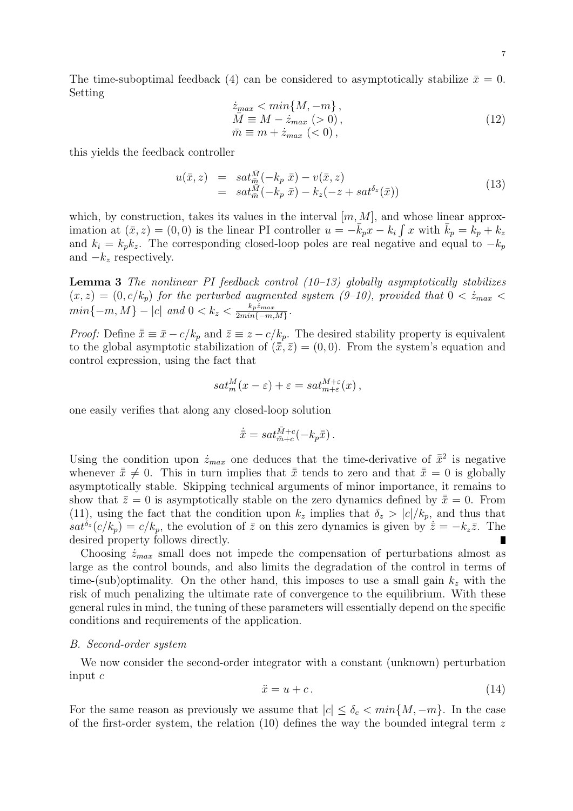The time-suboptimal feedback (4) can be considered to asymptotically stabilize  $\bar{x} = 0$ . Setting

$$
\begin{aligned}\n\dot{z}_{max} &< \min\{M, -m\}, \\
\bar{M} &\equiv M - \dot{z}_{max} \; (> 0), \\
\bar{m} &\equiv m + \dot{z}_{max} \; (< 0),\n\end{aligned} \tag{12}
$$

this yields the feedback controller

$$
u(\bar{x}, z) = sat_{\bar{m}}^{\bar{M}}(-k_p \bar{x}) - v(\bar{x}, z)
$$
  
=  $sat_{\bar{m}}^{\bar{M}}(-k_p \bar{x}) - k_z(-z + sat^{\delta_z}(\bar{x}))$  (13)

which, by construction, takes its values in the interval  $[m, M]$ , and whose linear approximation at  $(\bar{x}, z) = (0, 0)$  is the linear PI controller  $u = -\bar{k}_p x - k_i \int x$  with  $\bar{k}_p = k_p + k_z$ and  $k_i = k_p k_z$ . The corresponding closed-loop poles are real negative and equal to  $-k_p$ and *−k<sup>z</sup>* respectively.

**Lemma 3** *The nonlinear PI feedback control (10–13) globally asymptotically stabilizes*  $(x, z) = (0, c/k_p)$  *for the perturbed augmented system (9-10), provided that*  $0 < \dot{z}_{max}$  $min\{-m, M\} - |c|$  and  $0 < k_z < \frac{k_p z_{max}}{2m}$  $\frac{\kappa_{p}z_{max}}{2min\{-m,M\}}$ .

*Proof:* Define  $\bar{x} \equiv \bar{x} - c/k_p$  and  $\bar{z} \equiv \bar{z} - c/k_p$ . The desired stability property is equivalent to the global asymptotic stabilization of  $(\bar{\bar{x}}, \bar{z}) = (0, 0)$ . From the system's equation and control expression, using the fact that

$$
sat_m^M(x-\varepsilon)+\varepsilon = sat_{m+\varepsilon}^{M+\varepsilon}(x),
$$

one easily verifies that along any closed-loop solution

$$
\dot{\bar{\bar{x}}} = sat_{\bar{m}+c}^{\bar{M}+c}(-k_p\bar{\bar{x}}).
$$

Using the condition upon  $\dot{z}_{max}$  one deduces that the time-derivative of  $\bar{x}^2$  is negative whenever  $\bar{x} \neq 0$ . This in turn implies that  $\bar{x}$  tends to zero and that  $\bar{x} = 0$  is globally asymptotically stable. Skipping technical arguments of minor importance, it remains to show that  $\bar{z} = 0$  is asymptotically stable on the zero dynamics defined by  $\bar{\bar{x}} = 0$ . From (11), using the fact that the condition upon  $k_z$  implies that  $\delta_z > |c|/k_p$ , and thus that  $sat^{\delta z}(c/k_p) = c/k_p$ , the evolution of  $\bar{z}$  on this zero dynamics is given by  $\dot{\bar{z}} = -k_z\bar{z}$ . The desired property follows directly. П

Choosing  $\dot{z}_{max}$  small does not impede the compensation of perturbations almost as large as the control bounds, and also limits the degradation of the control in terms of time-(sub)optimality. On the other hand, this imposes to use a small gain *k<sup>z</sup>* with the risk of much penalizing the ultimate rate of convergence to the equilibrium. With these general rules in mind, the tuning of these parameters will essentially depend on the specific conditions and requirements of the application.

#### *B. Second-order system*

We now consider the second-order integrator with a constant (unknown) perturbation input *c*

$$
\ddot{x} = u + c. \tag{14}
$$

For the same reason as previously we assume that  $|c| \leq \delta_c < \min\{M, -m\}$ . In the case of the first-order system, the relation (10) defines the way the bounded integral term *z*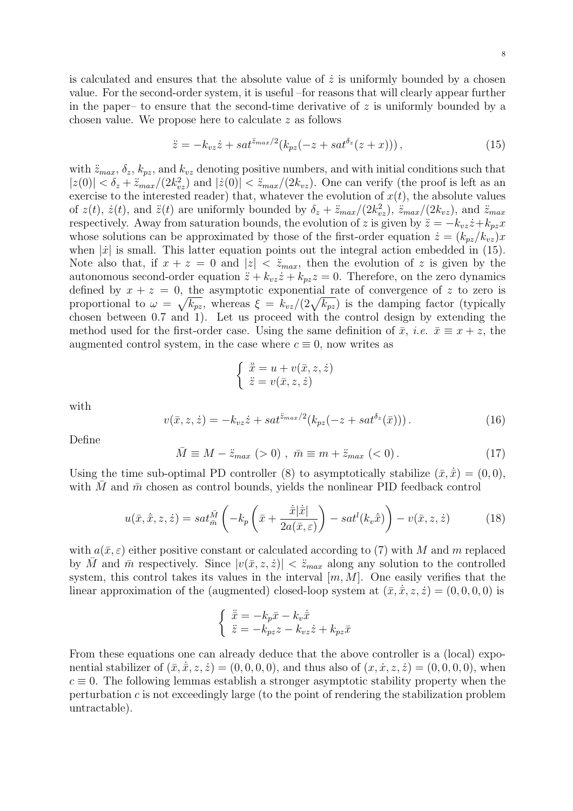is calculated and ensures that the absolute value of  $\dot{z}$  is uniformly bounded by a chosen value. For the second-order system, it is useful –for reasons that will clearly appear further in the paper– to ensure that the second-time derivative of  $z$  is uniformly bounded by a chosen value. We propose here to calculate *z* as follows

$$
\ddot{z} = -k_{vz}\dot{z} + sat^{\ddot{z}_{max}/2}(k_{pz}(-z + sat^{\delta_z}(z+x))), \qquad (15)
$$

with  $\ddot{z}_{max}$ ,  $\delta_z$ ,  $k_{pz}$ , and  $k_{vz}$  denoting positive numbers, and with initial conditions such that  $|z(0)| < \delta_z + \ddot{z}_{max}/(2k_{vz}^2)$  and  $|\dot{z}(0)| < \ddot{z}_{max}/(2k_{vz})$ . One can verify (the proof is left as an exercise to the interested reader) that, whatever the evolution of  $x(t)$ , the absolute values of  $z(t)$ ,  $\dot{z}(t)$ , and  $\ddot{z}(t)$  are uniformly bounded by  $\delta_z + \ddot{z}_{max}/(2k_{vz}^2)$ ,  $\ddot{z}_{max}/(2k_{vz})$ , and  $\ddot{z}_{max}$ respectively. Away from saturation bounds, the evolution of *z* is given by  $\ddot{z} = -k_{vz}\dot{z} + k_{pz}x$ whose solutions can be approximated by those of the first-order equation  $\dot{z} = (k_{pz}/k_{yz})x$ when  $|\dot{x}|$  is small. This latter equation points out the integral action embedded in (15). Note also that, if  $x + z = 0$  and  $|z| < \ddot{z}_{max}$ , then the evolution of z is given by the autonomous second-order equation  $\ddot{z} + k_{vz}\dot{z} + k_{pz}z = 0$ . Therefore, on the zero dynamics defined by  $x + z = 0$ , the asymptotic exponential rate of convergence of z to zero is proportional to  $\omega = \sqrt{k_{pz}}$ , whereas  $\xi = k_{vz}/(2\sqrt{k_{pz}})$  is the damping factor (typically chosen between 0.7 and 1). Let us proceed with the control design by extending the method used for the first-order case. Using the same definition of  $\bar{x}$ , *i.e.*  $\bar{x} \equiv x + z$ , the augmented control system, in the case where  $c \equiv 0$ , now writes as

$$
\begin{cases} \n\ddot{\bar{x}} = u + v(\bar{x}, z, \dot{z}) \\ \n\ddot{z} = v(\bar{x}, z, \dot{z}) \n\end{cases}
$$

with

$$
v(\bar{x}, z, \dot{z}) = -k_{vz}\dot{z} + sat^{\bar{z}_{max}/2}(k_{pz}(-z + sat^{\delta_z}(\bar{x}))).
$$
 (16)

Define

$$
\bar{M} \equiv M - \ddot{z}_{max} \ ( > 0) \ , \ \bar{m} \equiv m + \ddot{z}_{max} \ ( < 0) \ . \tag{17}
$$

Using the time sub-optimal PD controller (8) to asymptotically stabilize  $(\bar{x}, \dot{\bar{x}}) = (0, 0)$ , with *M* and  $\bar{m}$  chosen as control bounds, yields the nonlinear PID feedback control

$$
u(\bar{x}, \dot{\bar{x}}, z, \dot{z}) = sat_{\bar{m}}^{\bar{M}} \left( -k_p \left( \bar{x} + \frac{\dot{\bar{x}}|\dot{\bar{x}}|}{2a(\bar{x}, \varepsilon)} \right) - sat^l(k_v \dot{\bar{x}}) \right) - v(\bar{x}, z, \dot{z})
$$
(18)

with  $a(\bar{x}, \varepsilon)$  either positive constant or calculated according to (7) with *M* and *m* replaced by  $\bar{M}$  and  $\bar{m}$  respectively. Since  $|v(\bar{x}, z, \dot{z})| < \ddot{z}_{max}$  along any solution to the controlled system, this control takes its values in the interval [*m, M*]. One easily verifies that the linear approximation of the (augmented) closed-loop system at  $(\bar{x}, \dot{\bar{x}}, z, \dot{z}) = (0, 0, 0, 0)$  is

$$
\begin{cases} \n\ddot{\bar{x}} = -k_p \bar{x} - k_v \dot{\bar{x}} \\ \n\ddot{z} = -k_{pz} z - k_{vz} \dot{z} + k_{pz} \bar{x} \n\end{cases}
$$

From these equations one can already deduce that the above controller is a (local) exponential stabilizer of  $(\bar{x}, \dot{\bar{x}}, z, \dot{z}) = (0, 0, 0, 0)$ , and thus also of  $(x, \dot{x}, z, \dot{z}) = (0, 0, 0, 0)$ , when  $c \equiv 0$ . The following lemmas establish a stronger asymptotic stability property when the perturbation *c* is not exceedingly large (to the point of rendering the stabilization problem untractable).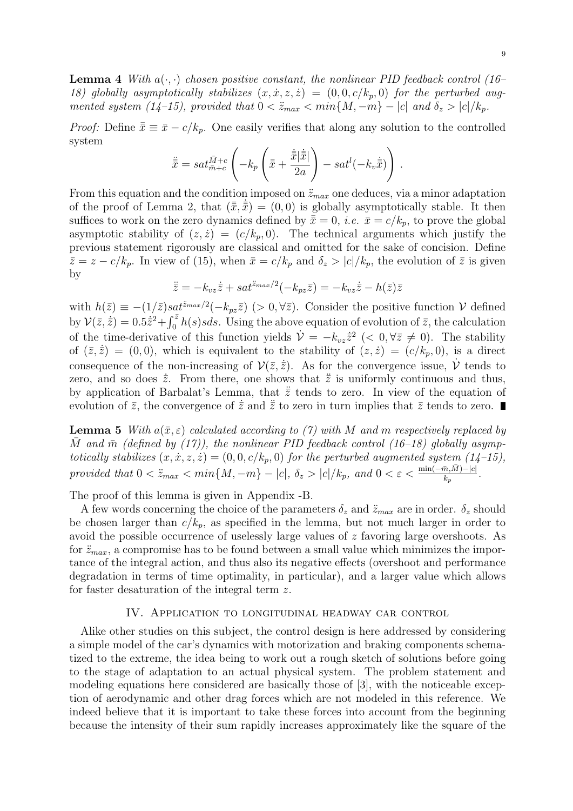**Lemma 4** *With a*(*·, ·*) *chosen positive constant, the nonlinear PID feedback control (16–* 18) globally asymptotically stabilizes  $(x, \dot{x}, z, \dot{z}) = (0, 0, c/k_p, 0)$  for the perturbed augmented system (14-15), provided that  $0 < \ddot{z}_{max} < min\{M, -m\} - |c|$  and  $\delta_z > |c|/k_p$ .

*Proof:* Define  $\bar{\bar{x}} \equiv \bar{x} - c/k_p$ . One easily verifies that along any solution to the controlled system

$$
\dot{\bar{\bar{x}}} = sat_{\bar{m}+c}^{\bar{M}+c} \left( -k_p \left( \bar{\bar{x}} + \frac{\dot{\bar{\bar{x}}}|\dot{\bar{\bar{x}}}|\right) - sat^l(-k_v\dot{\bar{\bar{x}}}) \right).
$$

From this equation and the condition imposed on  $\ddot{z}_{max}$  one deduces, via a minor adaptation of the proof of Lemma 2, that  $(\bar{\bar{x}}, \bar{\bar{x}}) = (0,0)$  is globally asymptotically stable. It then suffices to work on the zero dynamics defined by  $\bar{x} = 0$ , *i.e.*  $\bar{x} = c/k_p$ , to prove the global asymptotic stability of  $(z, \dot{z}) = (c/k_p, 0)$ . The technical arguments which justify the previous statement rigorously are classical and omitted for the sake of concision. Define  $\bar{z} = z - c/k_p$ . In view of (15), when  $\bar{x} = c/k_p$  and  $\delta_z > |c|/k_p$ , the evolution of  $\bar{z}$  is given by

$$
\ddot{\overline{z}} = -k_{vz}\dot{\overline{z}} + sat^{\overline{z}_{max}/2}(-k_{pz}\overline{z}) = -k_{vz}\dot{\overline{z}} - h(\overline{z})\overline{z}
$$

with  $h(\bar{z}) \equiv -(1/\bar{z})sat^{\bar{z}_{max}/2}(-k_{pz}\bar{z})$  (> 0, $\forall \bar{z}$ ). Consider the positive function *V* defined by  $V(\bar{z}, \bar{z}) = 0.5\bar{z}^2 + \int_0^{\bar{z}} h(s)sds$ . Using the above equation of evolution of  $\bar{z}$ , the calculation of the time-derivative of this function yields  $\dot{\mathcal{V}} = -k_{vz}\dot{\bar{z}}^2$  (< 0,  $\forall \bar{z} \neq 0$ ). The stability of  $(\bar{z}, \bar{z}) = (0, 0)$ , which is equivalent to the stability of  $(z, \dot{z}) = (c/k_p, 0)$ , is a direct consequence of the non-increasing of  $V(\bar{z}, \dot{\bar{z}})$ . As for the convergence issue,  $\dot{V}$  tends to zero, and so does  $\dot{\bar{z}}$ . From there, one shows that  $\ddot{\bar{z}}$  is uniformly continuous and thus, by application of Barbalat's Lemma, that  $\dot{\bar{z}}$  tends to zero. In view of the equation of evolution of  $\bar{z}$ , the convergence of  $\dot{\bar{z}}$  and  $\ddot{\bar{z}}$  to zero in turn implies that  $\bar{z}$  tends to zero.

**Lemma 5** *With*  $a(\bar{x}, \varepsilon)$  *calculated according to (7) with M and m respectively replaced by M* and  $\bar{m}$  (defined by (17)), the nonlinear PID feedback control (16–18) globally asymp*totically stabilizes*  $(x, \dot{x}, z, \dot{z}) = (0, 0, c/k_p, 0)$  *for the perturbed augmented system*  $(14-15)$ , provided that  $0 < \ddot{z}_{max} < min\{M, -m\} - |c|, \ \delta_z > |c|/k_p$ , and  $0 < \varepsilon < \frac{min(-\bar{m}, \bar{M}) - |c|}{k_p}$ .

The proof of this lemma is given in Appendix -B.

A few words concerning the choice of the parameters  $\delta_z$  and  $\ddot{z}_{max}$  are in order.  $\delta_z$  should be chosen larger than  $c/k_p$ , as specified in the lemma, but not much larger in order to avoid the possible occurrence of uselessly large values of *z* favoring large overshoots. As for  $\ddot{z}_{max}$ , a compromise has to be found between a small value which minimizes the importance of the integral action, and thus also its negative effects (overshoot and performance degradation in terms of time optimality, in particular), and a larger value which allows for faster desaturation of the integral term *z*.

#### IV. Application to longitudinal headway car control

Alike other studies on this subject, the control design is here addressed by considering a simple model of the car's dynamics with motorization and braking components schematized to the extreme, the idea being to work out a rough sketch of solutions before going to the stage of adaptation to an actual physical system. The problem statement and modeling equations here considered are basically those of [3], with the noticeable exception of aerodynamic and other drag forces which are not modeled in this reference. We indeed believe that it is important to take these forces into account from the beginning because the intensity of their sum rapidly increases approximately like the square of the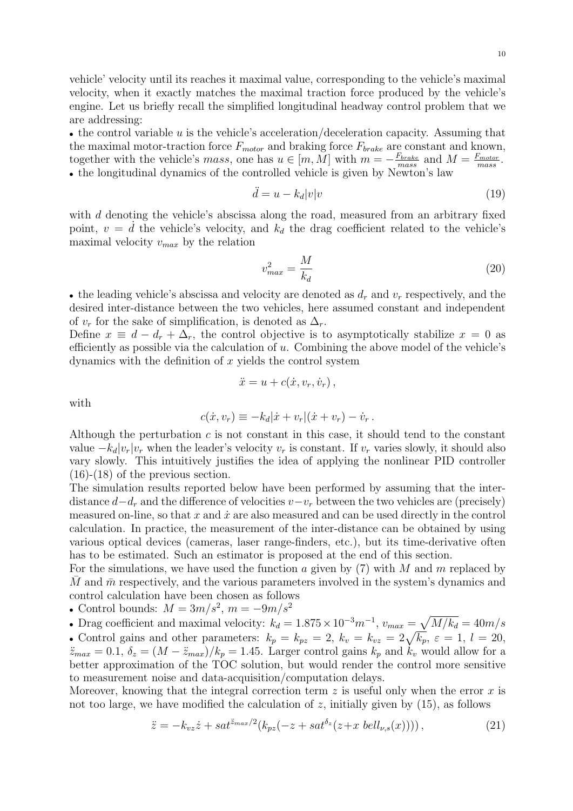vehicle' velocity until its reaches it maximal value, corresponding to the vehicle's maximal velocity, when it exactly matches the maximal traction force produced by the vehicle's engine. Let us briefly recall the simplified longitudinal headway control problem that we are addressing:

• the control variable *u* is the vehicle's acceleration/deceleration capacity. Assuming that the maximal motor-traction force *Fmotor* and braking force *Fbrake* are constant and known, together with the vehicle's *mass*, one has  $u \in [m, M]$  with  $m = -\frac{F_{brake}}{mass}$  $\frac{F_{brake}}{mass}$  and  $M = \frac{F_{motor}}{mass}$ *mass* . • the longitudinal dynamics of the controlled vehicle is given by Newton's law

$$
\ddot{d} = u - k_d |v| v \tag{19}
$$

with *d* denoting the vehicle's abscissa along the road, measured from an arbitrary fixed point,  $v = d$  the vehicle's velocity, and  $k_d$  the drag coefficient related to the vehicle's maximal velocity *vmax* by the relation

$$
v_{max}^2 = \frac{M}{k_d} \tag{20}
$$

*•* the leading vehicle's abscissa and velocity are denoted as *d<sup>r</sup>* and *v<sup>r</sup>* respectively, and the desired inter-distance between the two vehicles, here assumed constant and independent of  $v_r$  for the sake of simplification, is denoted as  $\Delta_r$ .

Define  $x \equiv d - d_r + \Delta_r$ , the control objective is to asymptotically stabilize  $x = 0$  as efficiently as possible via the calculation of *u*. Combining the above model of the vehicle's dynamics with the definition of *x* yields the control system

$$
\ddot{x} = u + c(\dot{x}, v_r, \dot{v}_r),
$$

with

$$
c(\dot{x}, v_r) \equiv -k_d |\dot{x} + v_r| (\dot{x} + v_r) - \dot{v}_r.
$$

Although the perturbation *c* is not constant in this case, it should tend to the constant value  $-k_d|v_r|v_r$  when the leader's velocity  $v_r$  is constant. If  $v_r$  varies slowly, it should also vary slowly. This intuitively justifies the idea of applying the nonlinear PID controller (16)-(18) of the previous section.

The simulation results reported below have been performed by assuming that the interdistance  $d - d_r$  and the difference of velocities  $v - v_r$  between the two vehicles are (precisely) measured on-line, so that  $x$  and  $\dot{x}$  are also measured and can be used directly in the control calculation. In practice, the measurement of the inter-distance can be obtained by using various optical devices (cameras, laser range-finders, etc.), but its time-derivative often has to be estimated. Such an estimator is proposed at the end of this section.

For the simulations, we have used the function *a* given by (7) with *M* and *m* replaced by *M* and  $\bar{m}$  respectively, and the various parameters involved in the system's dynamics and control calculation have been chosen as follows

*•* Control bounds: *M* = 3*m/s*<sup>2</sup> , *m* = *−*9*m/s*<sup>2</sup>

• Drag coefficient and maximal velocity:  $k_d = 1.875 \times 10^{-3} m^{-1}$ ,  $v_{max} = \sqrt{M/k_d} = 40 m/s$ 

• Control gains and other parameters:  $k_p = k_{pz} = 2$ ,  $k_v = k_{vz} = 2\sqrt{k_p}$ ,  $\varepsilon = 1$ ,  $l = 20$ ,  $\ddot{z}_{max} = 0.1, \delta_z = (M - \ddot{z}_{max})/k_p = 1.45$ . Larger control gains  $k_p$  and  $k_v$  would allow for a better approximation of the TOC solution, but would render the control more sensitive to measurement noise and data-acquisition/computation delays.

Moreover, knowing that the integral correction term *z* is useful only when the error *x* is not too large, we have modified the calculation of  $z$ , initially given by  $(15)$ , as follows

$$
\ddot{z} = -k_{vz}\dot{z} + sat^{\ddot{z}_{max}/2}(k_{pz}(-z + sat^{\delta_z}(z + x \: bell_{\nu,s}(x))))\,,\tag{21}
$$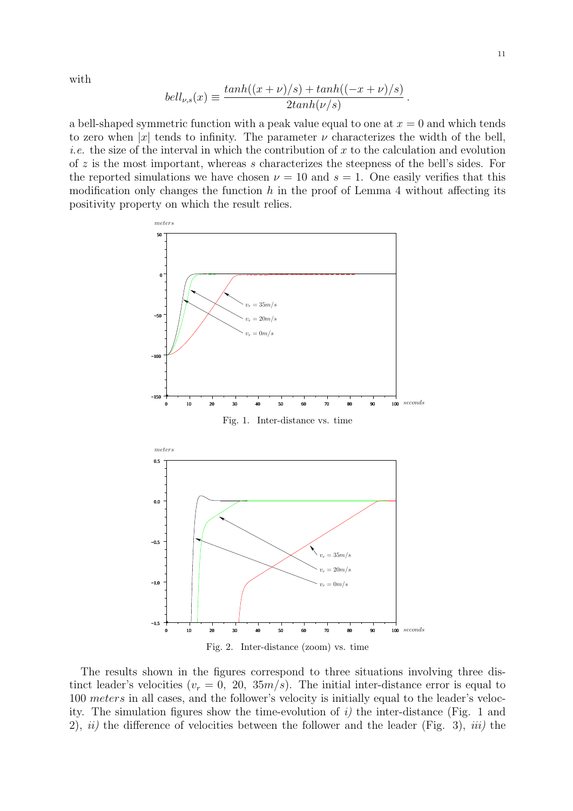with

$$
bell_{\nu,s}(x) \equiv \frac{\tanh((x+\nu)/s) + \tanh((-x+\nu)/s)}{2\tanh(\nu/s)}.
$$

a bell-shaped symmetric function with a peak value equal to one at  $x = 0$  and which tends to zero when  $|x|$  tends to infinity. The parameter  $\nu$  characterizes the width of the bell, *i.e.* the size of the interval in which the contribution of *x* to the calculation and evolution of *z* is the most important, whereas *s* characterizes the steepness of the bell's sides. For the reported simulations we have chosen  $\nu = 10$  and  $s = 1$ . One easily verifies that this modification only changes the function *h* in the proof of Lemma 4 without affecting its positivity property on which the result relies.





The results shown in the figures correspond to three situations involving three distinct leader's velocities  $(v_r = 0, 20, 35m/s)$ . The initial inter-distance error is equal to 100 *meters* in all cases, and the follower's velocity is initially equal to the leader's velocity. The simulation figures show the time-evolution of  $i$ ) the inter-distance (Fig. 1 and 2), *ii)* the difference of velocities between the follower and the leader (Fig. 3), *iii)* the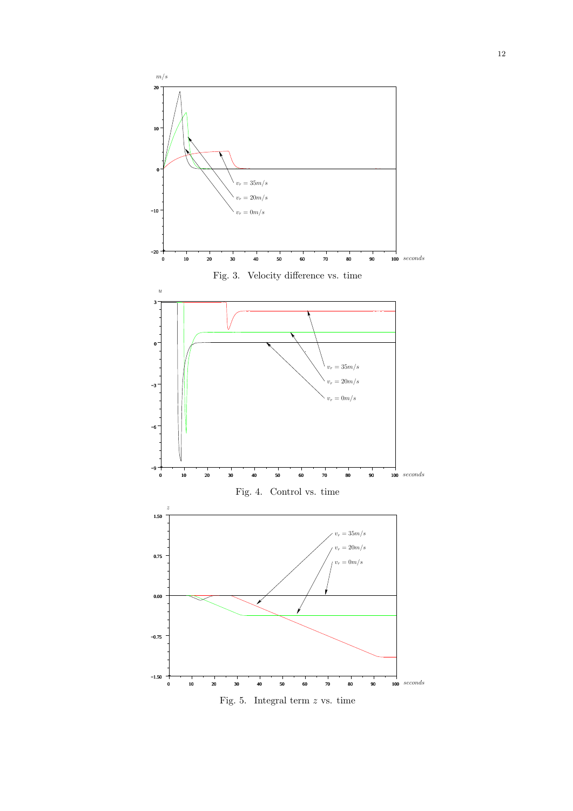

Fig. 5. Integral term *z* vs. time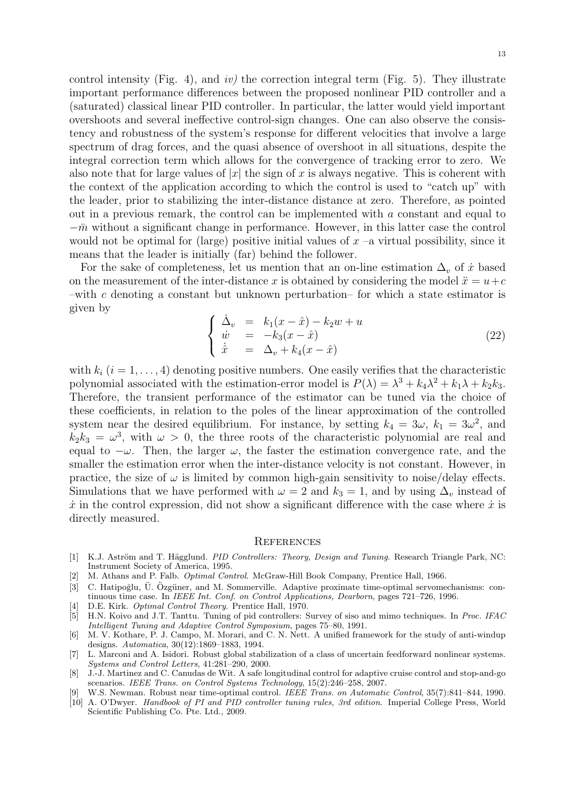control intensity (Fig. 4), and *iv)* the correction integral term (Fig. 5). They illustrate important performance differences between the proposed nonlinear PID controller and a (saturated) classical linear PID controller. In particular, the latter would yield important overshoots and several ineffective control-sign changes. One can also observe the consistency and robustness of the system's response for different velocities that involve a large spectrum of drag forces, and the quasi absence of overshoot in all situations, despite the integral correction term which allows for the convergence of tracking error to zero. We also note that for large values of  $|x|$  the sign of x is always negative. This is coherent with the context of the application according to which the control is used to "catch up" with the leader, prior to stabilizing the inter-distance distance at zero. Therefore, as pointed out in a previous remark, the control can be implemented with *a* constant and equal to  $-\bar{m}$  without a significant change in performance. However, in this latter case the control would not be optimal for (large) positive initial values of  $x$  –a virtual possibility, since it means that the leader is initially (far) behind the follower.

For the sake of completeness, let us mention that an on-line estimation  $\Delta_v$  of  $\dot{x}$  based on the measurement of the inter-distance x is obtained by considering the model  $\ddot{x} = u + c$ –with *c* denoting a constant but unknown perturbation– for which a state estimator is given by

$$
\begin{cases}\n\dot{\Delta}_v = k_1(x - \hat{x}) - k_2 w + u \\
\dot{w} = -k_3(x - \hat{x}) \\
\dot{\hat{x}} = \Delta_v + k_4(x - \hat{x})\n\end{cases}
$$
\n(22)

with  $k_i$   $(i = 1, \ldots, 4)$  denoting positive numbers. One easily verifies that the characteristic polynomial associated with the estimation-error model is  $P(\lambda) = \lambda^3 + k_4\lambda^2 + k_1\lambda + k_2k_3$ . Therefore, the transient performance of the estimator can be tuned via the choice of these coefficients, in relation to the poles of the linear approximation of the controlled system near the desired equilibrium. For instance, by setting  $k_4 = 3\omega$ ,  $k_1 = 3\omega^2$ , and  $k_2 k_3 = \omega^3$ , with  $\omega > 0$ , the three roots of the characteristic polynomial are real and equal to  $-\omega$ . Then, the larger  $\omega$ , the faster the estimation convergence rate, and the smaller the estimation error when the inter-distance velocity is not constant. However, in practice, the size of  $\omega$  is limited by common high-gain sensitivity to noise/delay effects. Simulations that we have performed with  $\omega = 2$  and  $k_3 = 1$ , and by using  $\Delta_v$  instead of  $\dot{x}$  in the control expression, did not show a significant difference with the case where  $\dot{x}$  is directly measured.

#### **REFERENCES**

- [1] K.J. Aström and T. Hägglund. *PID Controllers: Theory, Design and Tuning*. Research Triangle Park, NC: Instrument Society of America, 1995.
- [2] M. Athans and P. Falb. *Optimal Control*. McGraw-Hill Book Company, Prentice Hall, 1966.
- [3] C. Hatipoğlu, Ü. Özgüner, and M. Sommerville. Adaptive proximate time-optimal servomechanisms: continuous time case. In *IEEE Int. Conf. on Control Applications, Dearborn*, pages 721–726, 1996.
- [4] D.E. Kirk. *Optimal Control Theory*. Prentice Hall, 1970.
- [5] H.N. Koivo and J.T. Tanttu. Tuning of pid controllers: Survey of siso and mimo techniques. In *Proc. IFAC Intelligent Tuning and Adaptive Control Symposium*, pages 75–80, 1991.
- [6] M. V. Kothare, P. J. Campo, M. Morari, and C. N. Nett. A unified framework for the study of anti-windup designs. *Automatica*, 30(12):1869–1883, 1994.
- [7] L. Marconi and A. Isidori. Robust global stabilization of a class of uncertain feedforward nonlinear systems. *Systems and Control Letters*, 41:281–290, 2000.
- [8] J.-J. Martinez and C. Canudas de Wit. A safe longitudinal control for adaptive cruise control and stop-and-go scenarios. *IEEE Trans. on Control Systems Technology*, 15(2):246–258, 2007.
- [9] W.S. Newman. Robust near time-optimal control. *IEEE Trans. on Automatic Control*, 35(7):841–844, 1990.
- [10] A. O'Dwyer. *Handbook of PI and PID controller tuning rules, 3rd edition*. Imperial College Press, World Scientific Publishing Co. Pte. Ltd., 2009.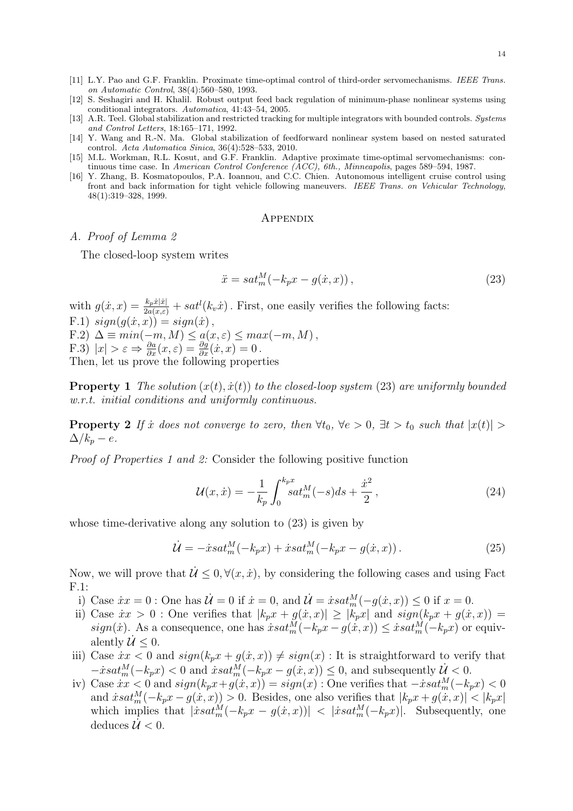14

- [11] L.Y. Pao and G.F. Franklin. Proximate time-optimal control of third-order servomechanisms. *IEEE Trans. on Automatic Control*, 38(4):560–580, 1993.
- [12] S. Seshagiri and H. Khalil. Robust output feed back regulation of minimum-phase nonlinear systems using conditional integrators. *Automatica*, 41:43–54, 2005.
- [13] A.R. Teel. Global stabilization and restricted tracking for multiple integrators with bounded controls. *Systems and Control Letters*, 18:165–171, 1992.
- [14] Y. Wang and R.-N. Ma. Global stabilization of feedforward nonlinear system based on nested saturated control. *Acta Automatica Sinica*, 36(4):528–533, 2010.
- [15] M.L. Workman, R.L. Kosut, and G.F. Franklin. Adaptive proximate time-optimal servomechanisms: continuous time case. In *American Control Conference (ACC), 6th., Minneapolis*, pages 589–594, 1987.
- [16] Y. Zhang, B. Kosmatopoulos, P.A. Ioannou, and C.C. Chien. Autonomous intelligent cruise control using front and back information for tight vehicle following maneuvers. *IEEE Trans. on Vehicular Technology*, 48(1):319–328, 1999.

#### **APPENDIX**

#### *A. Proof of Lemma 2*

The closed-loop system writes

$$
\ddot{x} = sat_m^M(-k_p x - g(\dot{x}, x)),\tag{23}
$$

with  $g(x, x) = \frac{k_p \dot{x} |x|}{2a(x,\varepsilon)} + sat^l(k_v \dot{x})$ . First, one easily verifies the following facts:  $F.1)$   $sign(q(x, x)) = sign(\dot{x})$ ,  $F.2) \Delta \equiv min(-m, M) \leq a(x, \varepsilon) \leq max(-m, M),$ F.3)  $|x| > \varepsilon \Rightarrow \frac{\partial a}{\partial x}(x, \varepsilon) = \frac{\partial g}{\partial x}(\dot{x}, x) = 0$ . Then, let us prove the following properties

**Property 1** The solution  $(x(t), \dot{x}(t))$  to the closed-loop system (23) are uniformly bounded *w.r.t. initial conditions and uniformly continuous.*

**Property 2** If  $\dot{x}$  does not converge to zero, then  $\forall t_0$ ,  $\forall e > 0$ ,  $\exists t > t_0$  such that  $|x(t)| >$  $\Delta/k_p - e$ .

*Proof of Properties 1 and 2:* Consider the following positive function

$$
\mathcal{U}(x,\dot{x}) = -\frac{1}{k_p} \int_0^{k_p x} s a t_m^M(-s) ds + \frac{\dot{x}^2}{2},\qquad(24)
$$

whose time-derivative along any solution to (23) is given by

$$
\dot{\mathcal{U}} = -\dot{x}sat_m^M(-k_p x) + \dot{x}sat_m^M(-k_p x - g(\dot{x}, x))\,. \tag{25}
$$

Now, we will prove that  $\mathcal{U} \leq 0, \forall (x, \dot{x})$ , by considering the following cases and using Fact F.1:

- i) Case  $\dot{x}x = 0$ : One has  $\dot{\mathcal{U}} = 0$  if  $\dot{x} = 0$ , and  $\dot{\mathcal{U}} = \dot{x}sat_m^M(-g(\dot{x},x)) \le 0$  if  $x = 0$ .
- ii) Case  $\dot{x}x > 0$ : One verifies that  $|k_p x + g(\dot{x}, x)| \geq |k_p x|$  and  $sign(k_p x + g(\dot{x}, x))$  $sign(x)$ . As a consequence, one has  $\dot{x} sat_m^M(-k_p x - g(\dot{x}, x)) \leq \dot{x} sat_m^M(-k_p x)$  or equivalently  $\mathcal{U} \leq 0$ .
- iii) Case  $\dot{x}x < 0$  and  $sign(k_p x + g(\dot{x}, x)) \neq sign(x)$ : It is straightforward to verify that  $- x \cdot sat_m^M(-k_p x) < 0$  and  $x \cdot sat_m^M(-k_p x - g(x, x)) \leq 0$ , and subsequently  $\mathcal{U} < 0$ .
- $\int$  iv) Case  $\dot{x}$ *x* < 0 and  $sign(k_p x + g(\dot{x}, x)) = sign(x)$ : One verifies that  $-\dot{x}$ sat $_m^M(-k_p x)$  < 0 and  $\dot{x} s a t_m^M(-k_p x - g(\dot{x}, x)) > 0$ . Besides, one also verifies that  $|k_p x + g(\dot{x}, x)| < |k_p x|$ which implies that  $|\dot{x} s a t_m^M(-k_p x - g(\dot{x}, x))|$  <  $|\dot{x} s a t_m^M(-k_p x)|$ . Subsequently, one deduces  $\mathcal{U} < 0$ .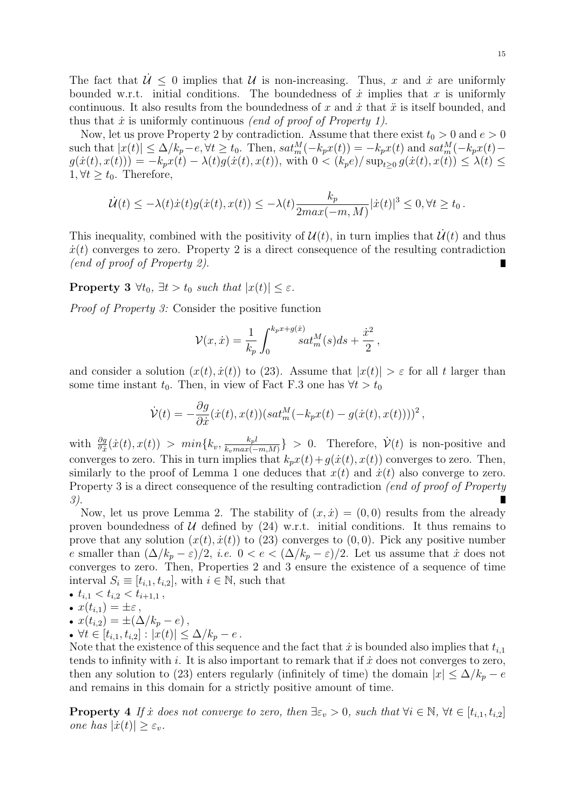The fact that  $\dot{\mathcal{U}} \leq 0$  implies that  $\mathcal{U}$  is non-increasing. Thus, *x* and *i* are uniformly bounded w.r.t. initial conditions. The boundedness of  $\dot{x}$  implies that  $x$  is uniformly continuous. It also results from the boundedness of  $x$  and  $\dot{x}$  that  $\ddot{x}$  is itself bounded, and thus that  $\dot{x}$  is uniformly continuous *(end of proof of Property 1)*.

Now, let us prove Property 2 by contradiction. Assume that there exist  $t_0 > 0$  and  $e > 0$ such that  $|x(t)| \leq \Delta/k_p - e$ ,  $\forall t \geq t_0$ . Then,  $sat_m^M(-k_px(t)) = -k_px(t)$  and  $sat_m^M(-k_px(t))$  $g(\dot{x}(t), x(t))) = -k_p x(t) - \lambda(t) g(\dot{x}(t), x(t)),$  with  $0 < (k_p e)/\sup_{t \geq 0} g(\dot{x}(t), x(t)) \leq \lambda(t) \leq$ 1,  $∀t ≥ t_0$ . Therefore,

$$
\dot{\mathcal{U}}(t) \le -\lambda(t)\dot{x}(t)g(\dot{x}(t), x(t)) \le -\lambda(t)\frac{k_p}{2max(-m, M)}|\dot{x}(t)|^3 \le 0, \forall t \ge t_0.
$$

This inequality, combined with the positivity of  $\mathcal{U}(t)$ , in turn implies that  $\mathcal{U}(t)$  and thus  $\dot{x}(t)$  converges to zero. Property 2 is a direct consequence of the resulting contradiction *(end of proof of Property 2)*.

**Property 3**  $\forall t_0, \exists t > t_0$  *such that*  $|x(t)| \leq \varepsilon$ *.* 

*Proof of Property 3:* Consider the positive function

$$
\mathcal{V}(x,\dot{x}) = \frac{1}{k_p} \int_0^{k_p x + g(\dot{x})} s a t_m^M(s) ds + \frac{\dot{x}^2}{2},
$$

and consider a solution  $(x(t), \dot{x}(t))$  to (23). Assume that  $|x(t)| > \varepsilon$  for all *t* larger than some time instant  $t_0$ . Then, in view of Fact F.3 one has  $\forall t > t_0$ 

$$
\dot{\mathcal{V}}(t) = -\frac{\partial g}{\partial \dot{x}}(\dot{x}(t), x(t)) (sat_m^M(-k_p x(t) - g(\dot{x}(t), x(t))))^2,
$$

 $\text{with} \ \frac{\partial g}{\partial \dot{x}}(\dot{x}(t), x(t)) > \ min\{k_v, \frac{k_p h}{k_v \max(-1)}\}$  $\frac{k_p l}{k_v max(-m, M)}$  *}* > 0. Therefore,  $\dot{\mathcal{V}}(t)$  is non-positive and converges to zero. This in turn implies that  $k_p x(t) + g(x(t), x(t))$  converges to zero. Then, similarly to the proof of Lemma 1 one deduces that  $x(t)$  and  $\dot{x}(t)$  also converge to zero. Property 3 is a direct consequence of the resulting contradiction *(end of proof of Property 3)*. П

Now, let us prove Lemma 2. The stability of  $(x, \dot{x}) = (0, 0)$  results from the already proven boundedness of  $U$  defined by  $(24)$  w.r.t. initial conditions. It thus remains to prove that any solution  $(x(t), \dot{x}(t))$  to (23) converges to  $(0, 0)$ . Pick any positive number *e* smaller than  $(\Delta/k_p - \varepsilon)/2$ , *i.e.*  $0 < e < (\Delta/k_p - \varepsilon)/2$ . Let us assume that *i* does not converges to zero. Then, Properties 2 and 3 ensure the existence of a sequence of time interval  $S_i \equiv [t_{i,1}, t_{i,2}],$  with  $i \in \mathbb{N}$ , such that

• 
$$
t_{i,1} < t_{i,2} < t_{i+1,1} \,,
$$

• 
$$
x(t_{i,1}) = \pm \varepsilon
$$
,

• 
$$
x(t_{i,2}) = \pm (\Delta/k_p - e),
$$

*• ∀t ∈* [*ti,*1*, ti,*2] : *|x*(*t*)*| ≤* ∆*/k<sup>p</sup> − e .*

Note that the existence of this sequence and the fact that  $\dot{x}$  is bounded also implies that  $t_{i,1}$ tends to infinity with  $i$ . It is also important to remark that if  $\dot{x}$  does not converges to zero, then any solution to (23) enters regularly (infinitely of time) the domain  $|x| \leq \Delta/k_p - e$ and remains in this domain for a strictly positive amount of time.

**Property 4** If x does not converge to zero, then  $\exists \varepsilon_v > 0$ , such that  $\forall i \in \mathbb{N}, \forall t \in [t_{i,1}, t_{i,2}]$ *one* has  $|\dot{x}(t)| \geq \varepsilon_v$ .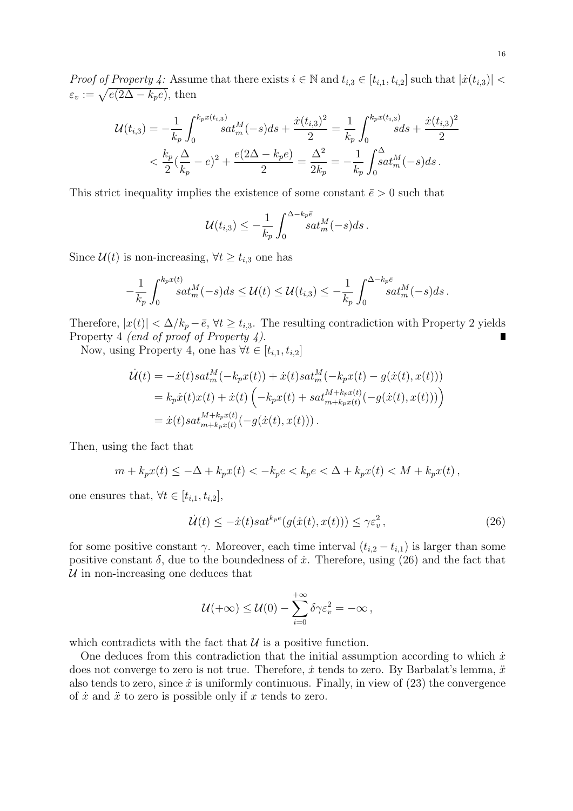*Proof of Property 4:* Assume that there exists  $i \in \mathbb{N}$  and  $t_{i,3} \in [t_{i,1}, t_{i,2}]$  such that  $|\dot{x}(t_{i,3})|$  $\varepsilon_v := \sqrt{e(2\Delta - k_p e)},$  then

$$
\mathcal{U}(t_{i,3}) = -\frac{1}{k_p} \int_0^{k_p x(t_{i,3})} s a t_m^M(-s) ds + \frac{\dot{x}(t_{i,3})^2}{2} = \frac{1}{k_p} \int_0^{k_p x(t_{i,3})} s ds + \frac{\dot{x}(t_{i,3})^2}{2}
$$
  

$$
< \frac{k_p}{2} (\frac{\Delta}{k_p} - e)^2 + \frac{e(2\Delta - k_p e)}{2} = \frac{\Delta^2}{2k_p} = -\frac{1}{k_p} \int_0^{\Delta} s a t_m^M(-s) ds.
$$

This strict inequality implies the existence of some constant  $\bar{e} > 0$  such that

$$
\mathcal{U}(t_{i,3}) \leq -\frac{1}{k_p} \int_0^{\Delta - k_p \bar{e}} s a t_m^M(-s) ds.
$$

Since  $\mathcal{U}(t)$  is non-increasing,  $\forall t \geq t_{i,3}$  one has

$$
-\frac{1}{k_p}\int_0^{k_p x(t)} sat_m^M(-s)ds \le \mathcal{U}(t) \le \mathcal{U}(t_{i,3}) \le -\frac{1}{k_p}\int_0^{\Delta - k_p \bar{e}} sat_m^M(-s)ds.
$$

Therefore,  $|x(t)| < \Delta/k_p - \bar{e}$ ,  $\forall t \geq t_{i,3}$ . The resulting contradiction with Property 2 yields Property 4 *(end of proof of Property 4)*.

Now, using Property 4, one has  $\forall t \in [t_{i,1}, t_{i,2}]$ 

$$
\dot{\mathcal{U}}(t) = -\dot{x}(t)sat_m^M(-k_px(t)) + \dot{x}(t)sat_m^M(-k_px(t) - g(\dot{x}(t), x(t)))
$$
  
=  $k_p\dot{x}(t)x(t) + \dot{x}(t)\left(-k_px(t) + sat_{m+k_px(t)}^{M+k_px(t)}(-g(\dot{x}(t), x(t)))\right)$   
=  $\dot{x}(t)sat_{m+k_px(t)}^{M+k_px(t)}(-g(\dot{x}(t), x(t))).$ 

Then, using the fact that

$$
m + k_p x(t) \le -\Delta + k_p x(t) < -k_p e < k_p e < \Delta + k_p x(t) < M + k_p x(t),
$$

one ensures that,  $\forall t \in [t_{i,1}, t_{i,2}],$ 

$$
\dot{\mathcal{U}}(t) \le -\dot{x}(t)sat^{k_p e}(g(\dot{x}(t), x(t))) \le \gamma \varepsilon_v^2, \qquad (26)
$$

for some positive constant *γ*. Moreover, each time interval  $(t_{i,2} - t_{i,1})$  is larger than some positive constant  $\delta$ , due to the boundedness of  $\dot{x}$ . Therefore, using (26) and the fact that *U* in non-increasing one deduces that

$$
\mathcal{U}(+\infty) \leq \mathcal{U}(0) - \sum_{i=0}^{+\infty} \delta \gamma \varepsilon_v^2 = -\infty,
$$

which contradicts with the fact that  $U$  is a positive function.

One deduces from this contradiction that the initial assumption according to which  $\dot{x}$ does not converge to zero is not true. Therefore,  $\dot{x}$  tends to zero. By Barbalat's lemma,  $\ddot{x}$ also tends to zero, since  $\dot{x}$  is uniformly continuous. Finally, in view of  $(23)$  the convergence of  $\dot{x}$  and  $\ddot{x}$  to zero is possible only if  $x$  tends to zero.